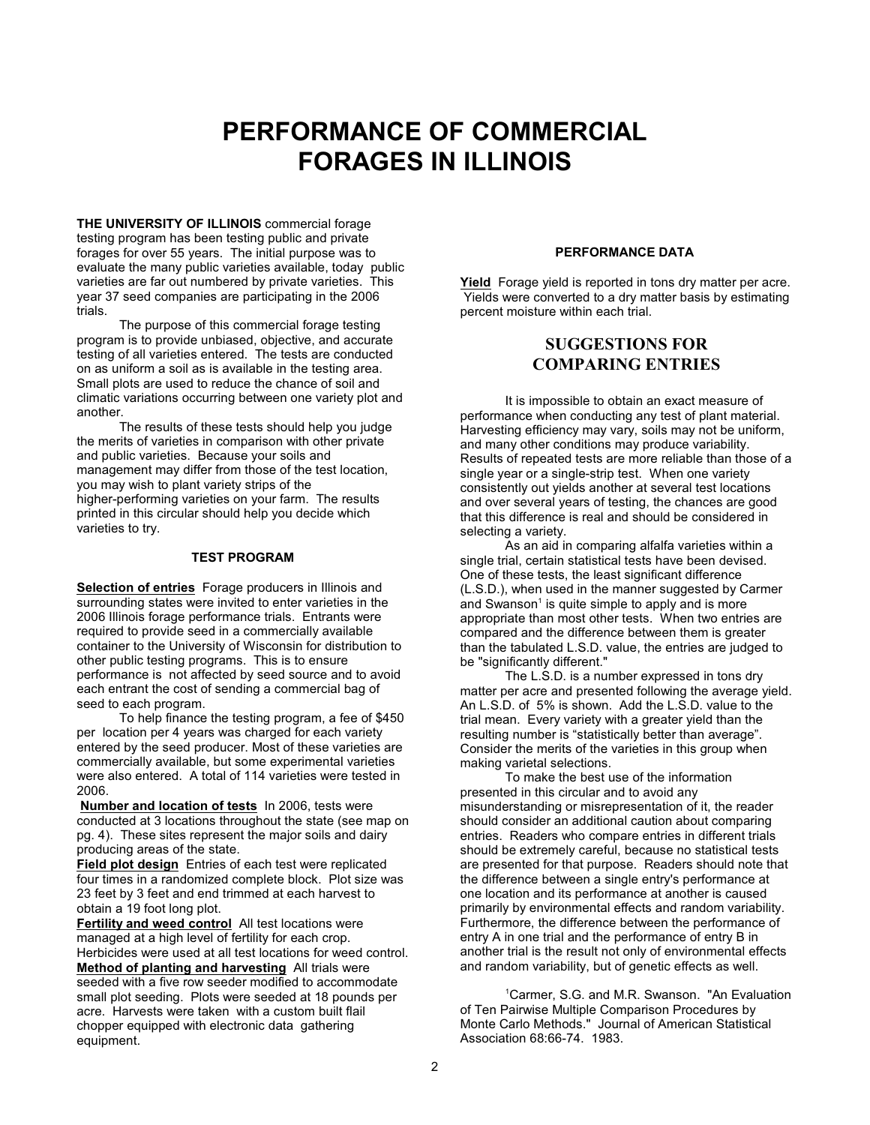# **PERFORMANCE OF COMMERCIAL FORAGES IN ILLINOIS**

**THE UNIVERSITY OF ILLINOIS** commercial forage testing program has been testing public and private forages for over 55 years. The initial purpose was to evaluate the many public varieties available, today public varieties are far out numbered by private varieties. This year 37 seed companies are participating in the 2006 trials.

The purpose of this commercial forage testing program is to provide unbiased, objective, and accurate testing of all varieties entered. The tests are conducted on as uniform a soil as is available in the testing area. Small plots are used to reduce the chance of soil and climatic variations occurring between one variety plot and another.

The results of these tests should help you judge the merits of varieties in comparison with other private and public varieties. Because your soils and management may differ from those of the test location, you may wish to plant variety strips of the higher-performing varieties on your farm. The results printed in this circular should help you decide which varieties to try.

#### **TEST PROGRAM**

**Selection of entries** Forage producers in Illinois and surrounding states were invited to enter varieties in the 2006 Illinois forage performance trials. Entrants were required to provide seed in a commercially available container to the University of Wisconsin for distribution to other public testing programs. This is to ensure performance is not affected by seed source and to avoid each entrant the cost of sending a commercial bag of seed to each program.

To help finance the testing program, a fee of \$450 per location per 4 years was charged for each variety entered by the seed producer. Most of these varieties are commercially available, but some experimental varieties were also entered. A total of 114 varieties were tested in 2006.

**Number and location of tests** In 2006, tests were conducted at 3 locations throughout the state (see map on pg. 4). These sites represent the major soils and dairy producing areas of the state.

**Field plot design** Entries of each test were replicated four times in a randomized complete block. Plot size was 23 feet by 3 feet and end trimmed at each harvest to obtain a 19 foot long plot.

**Fertility and weed control** All test locations were managed at a high level of fertility for each crop. Herbicides were used at all test locations for weed control. **Method of planting and harvesting** All trials were seeded with a five row seeder modified to accommodate small plot seeding. Plots were seeded at 18 pounds per acre. Harvests were taken with a custom built flail chopper equipped with electronic data gathering equipment.

#### **PERFORMANCE DATA**

**Yield** Forage yield is reported in tons dry matter per acre. Yields were converted to a dry matter basis by estimating percent moisture within each trial.

### **SUGGESTIONS FOR COMPARING ENTRIES**

It is impossible to obtain an exact measure of performance when conducting any test of plant material. Harvesting efficiency may vary, soils may not be uniform, and many other conditions may produce variability. Results of repeated tests are more reliable than those of a single year or a single-strip test. When one variety consistently out yields another at several test locations and over several years of testing, the chances are good that this difference is real and should be considered in selecting a variety.

As an aid in comparing alfalfa varieties within a single trial, certain statistical tests have been devised. One of these tests, the least significant difference (L.S.D.), when used in the manner suggested by Carmer and Swanson<sup>1</sup> is quite simple to apply and is more appropriate than most other tests. When two entries are compared and the difference between them is greater than the tabulated L.S.D. value, the entries are judged to be "significantly different."

The L.S.D. is a number expressed in tons dry matter per acre and presented following the average yield. An L.S.D. of 5% is shown. Add the L.S.D. value to the trial mean. Every variety with a greater yield than the resulting number is "statistically better than average". Consider the merits of the varieties in this group when making varietal selections.

To make the best use of the information presented in this circular and to avoid any misunderstanding or misrepresentation of it, the reader should consider an additional caution about comparing entries. Readers who compare entries in different trials should be extremely careful, because no statistical tests are presented for that purpose. Readers should note that the difference between a single entry's performance at one location and its performance at another is caused primarily by environmental effects and random variability. Furthermore, the difference between the performance of entry A in one trial and the performance of entry B in another trial is the result not only of environmental effects and random variability, but of genetic effects as well.

<sup>1</sup>Carmer, S.G. and M.R. Swanson. "An Evaluation of Ten Pairwise Multiple Comparison Procedures by Monte Carlo Methods." Journal of American Statistical Association 68:66-74. 1983.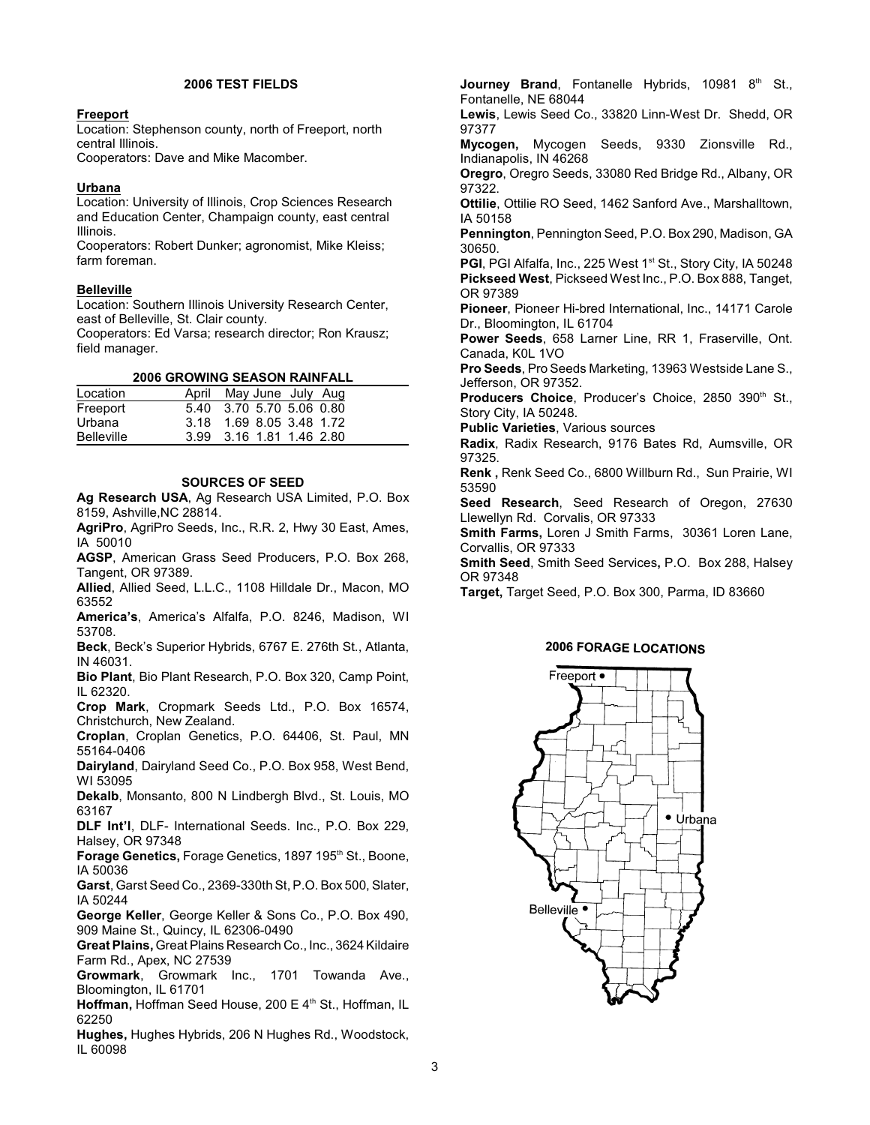#### **2006 TEST FIELDS**

#### **Freeport**

Location: Stephenson county, north of Freeport, north central Illinois.

Cooperators: Dave and Mike Macomber.

#### **Urbana**

Location: University of Illinois, Crop Sciences Research and Education Center, Champaign county, east central Illinois.

Cooperators: Robert Dunker; agronomist, Mike Kleiss; farm foreman.

#### **Belleville**

Location: Southern Illinois University Research Center, east of Belleville, St. Clair county.

Cooperators: Ed Varsa; research director; Ron Krausz; field manager.

#### **2006 GROWING SEASON RAINFALL**

| Location          | April May June July Aug  |
|-------------------|--------------------------|
| Freeport          | 5.40 3.70 5.70 5.06 0.80 |
| Urbana            | 3.18 1.69 8.05 3.48 1.72 |
| <b>Belleville</b> | 3.99 3.16 1.81 1.46 2.80 |

#### **SOURCES OF SEED**

**Ag Research USA**, Ag Research USA Limited, P.O. Box 8159, Ashville,NC 28814.

**AgriPro**, AgriPro Seeds, Inc., R.R. 2, Hwy 30 East, Ames, IA 50010

**AGSP**, American Grass Seed Producers, P.O. Box 268, Tangent, OR 97389.

**Allied**, Allied Seed, L.L.C., 1108 Hilldale Dr., Macon, MO 63552

**America's**, America's Alfalfa, P.O. 8246, Madison, WI 53708.

**Beck**, Beck's Superior Hybrids, 6767 E. 276th St., Atlanta, IN 46031.

**Bio Plant**, Bio Plant Research, P.O. Box 320, Camp Point, IL 62320.

**Crop Mark**, Cropmark Seeds Ltd., P.O. Box 16574, Christchurch, New Zealand.

**Croplan**, Croplan Genetics, P.O. 64406, St. Paul, MN 55164-0406

**Dairyland**, Dairyland Seed Co., P.O. Box 958, West Bend, WI 53095

**Dekalb**, Monsanto, 800 N Lindbergh Blvd., St. Louis, MO 63167

**DLF Int'l**, DLF- International Seeds. Inc., P.O. Box 229, Halsey, OR 97348

**Forage Genetics, Forage Genetics, 1897 195<sup>th</sup> St., Boone,** IA 50036

**Garst**, Garst Seed Co., 2369-330th St, P.O. Box 500, Slater, IA 50244

**George Keller**, George Keller & Sons Co., P.O. Box 490, 909 Maine St., Quincy, IL 62306-0490

**Great Plains,** Great Plains Research Co., Inc., 3624 Kildaire Farm Rd., Apex, NC 27539

**Growmark**, Growmark Inc., 1701 Towanda Ave., Bloomington, IL 61701

**Hoffman, Hoffman Seed House, 200 E 4th St., Hoffman, IL** 62250

**Hughes,** Hughes Hybrids, 206 N Hughes Rd., Woodstock, IL 60098

**Journey Brand**, Fontanelle Hybrids, 10981 8<sup>th</sup> St., Fontanelle, NE 68044

**Lewis**, Lewis Seed Co., 33820 Linn-West Dr. Shedd, OR 97377

**Mycogen,** Mycogen Seeds, 9330 Zionsville Rd., Indianapolis, IN 46268

**Oregro**, Oregro Seeds, 33080 Red Bridge Rd., Albany, OR 97322.

**Ottilie**, Ottilie RO Seed, 1462 Sanford Ave., Marshalltown, IA 50158

**Pennington**, Pennington Seed, P.O. Box 290, Madison, GA 30650.

PGI, PGI Alfalfa, Inc., 225 West 1<sup>st</sup> St., Story City, IA 50248 **Pickseed West**, Pickseed West Inc., P.O. Box 888, Tanget, OR 97389

**Pioneer**, Pioneer Hi-bred International, Inc., 14171 Carole Dr., Bloomington, IL 61704

**Power Seeds**, 658 Larner Line, RR 1, Fraserville, Ont. Canada, K0L 1VO

**Pro Seeds**, Pro Seeds Marketing, 13963 Westside Lane S., Jefferson, OR 97352.

Producers Choice, Producer's Choice, 2850 390<sup>th</sup> St., Story City, IA 50248.

**Public Varieties**, Various sources

**Radix**, Radix Research, 9176 Bates Rd, Aumsville, OR 97325.

**Renk ,** Renk Seed Co., 6800 Willburn Rd., Sun Prairie, WI 53590

**Seed Research**, Seed Research of Oregon, 27630 Llewellyn Rd. Corvalis, OR 97333

**Smith Farms,** Loren J Smith Farms, 30361 Loren Lane, Corvallis, OR 97333

**Smith Seed**, Smith Seed Services**,** P.O. Box 288, Halsey OR 97348

**Target,** Target Seed, P.O. Box 300, Parma, ID 83660

#### **2006 FORAGE LOCATIONS**

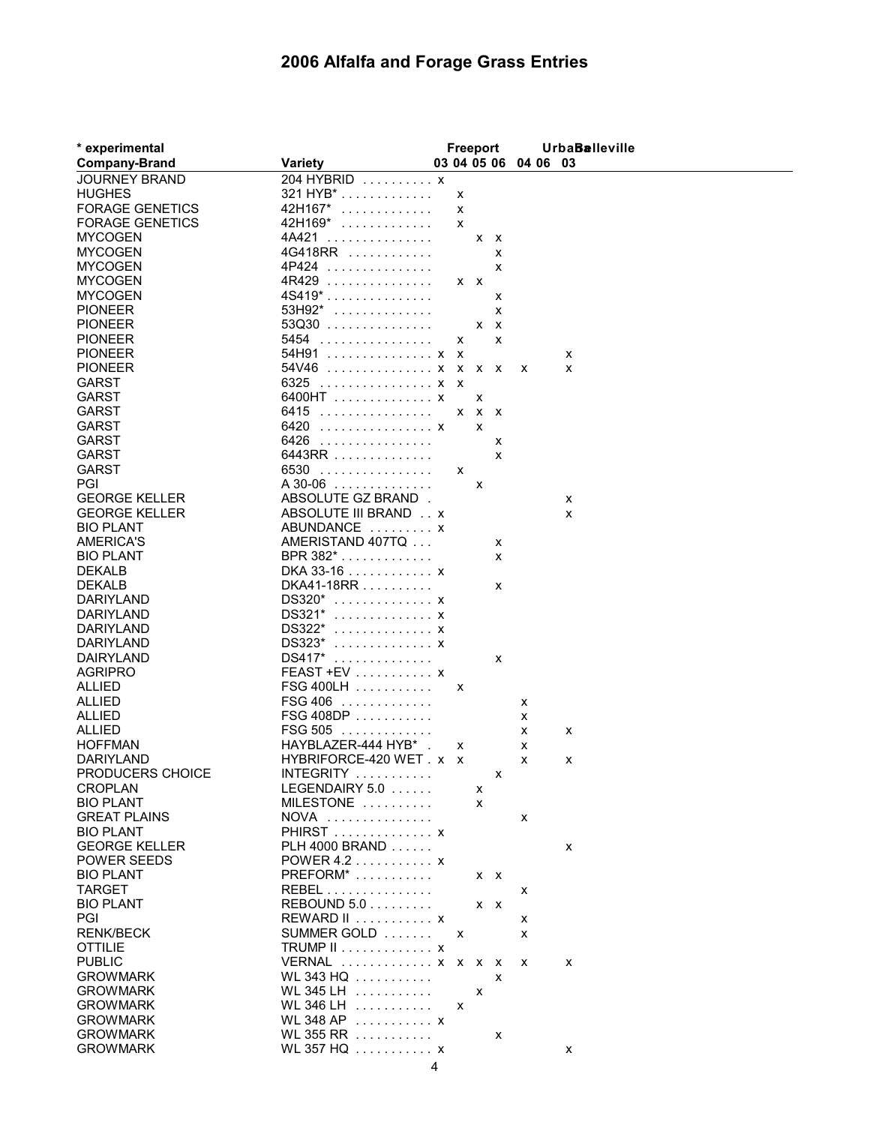## **2006 Alfalfa and Forage Grass Entries**

| * experimental          |                                            | Freeport |             |   |                      | <b>UrbaBalleville</b> |
|-------------------------|--------------------------------------------|----------|-------------|---|----------------------|-----------------------|
| <b>Company-Brand</b>    | <b>Variety</b>                             |          |             |   | 03 04 05 06 04 06 03 |                       |
| <b>JOURNEY BRAND</b>    | 204 HYBRID x                               |          |             |   |                      |                       |
| <b>HUGHES</b>           | 321 HYB*                                   | X        |             |   |                      |                       |
| <b>FORAGE GENETICS</b>  | 42H167*<br>.                               | X        |             |   |                      |                       |
| <b>FORAGE GENETICS</b>  | 42H169*<br>.                               | X        |             |   |                      |                       |
| <b>MYCOGEN</b>          | 4A421<br>.                                 |          | $X$ $X$     |   |                      |                       |
| <b>MYCOGEN</b>          | 4G418RR                                    |          |             | X |                      |                       |
| <b>MYCOGEN</b>          | 4P424<br>.                                 |          |             | X |                      |                       |
| <b>MYCOGEN</b>          | $4R429$                                    | $X$ $X$  |             |   |                      |                       |
| <b>MYCOGEN</b>          | 4S419*                                     |          |             | х |                      |                       |
| <b>PIONEER</b>          | $53H92^*$                                  |          |             | X |                      |                       |
| <b>PIONEER</b>          | $53Q30$                                    |          | $X$ $X$     |   |                      |                       |
| <b>PIONEER</b>          | 5454                                       | x        |             | X |                      |                       |
| <b>PIONEER</b>          | 54H91  x x                                 |          |             |   |                      | x                     |
| <b>PIONEER</b>          | 54V46  x x x x                             |          |             |   | x                    | x                     |
| <b>GARST</b>            | 6325 x x                                   |          |             |   |                      |                       |
| <b>GARST</b>            | 6400HT x                                   |          | x           |   |                      |                       |
| <b>GARST</b>            | 6415                                       |          | $X$ $X$ $X$ |   |                      |                       |
| <b>GARST</b>            | 6420 x                                     |          | X           |   |                      |                       |
| <b>GARST</b>            | 6426                                       |          |             | X |                      |                       |
| <b>GARST</b>            | 6443RR                                     |          |             | X |                      |                       |
| <b>GARST</b><br>PGI     | 6530<br>.<br>$A$ 30-06                     | x        |             |   |                      |                       |
| <b>GEORGE KELLER</b>    |                                            |          | X           |   |                      |                       |
| <b>GEORGE KELLER</b>    | ABSOLUTE GZ BRAND.<br>ABSOLUTE III BRAND x |          |             |   |                      | x                     |
| <b>BIO PLANT</b>        | ABUNDANCE  x                               |          |             |   |                      | x                     |
| <b>AMERICA'S</b>        | AMERISTAND 407TQ                           |          |             | х |                      |                       |
| <b>BIO PLANT</b>        | $BPR 382^*$                                |          |             | X |                      |                       |
| <b>DEKALB</b>           | DKA 33-16 x                                |          |             |   |                      |                       |
| <b>DEKALB</b>           | DKA41-18RR                                 |          |             | X |                      |                       |
| <b>DARIYLAND</b>        | $DS320*$ x                                 |          |             |   |                      |                       |
| DARIYLAND               | DS321*  x                                  |          |             |   |                      |                       |
| DARIYLAND               | DS322*<br>. X                              |          |             |   |                      |                       |
| DARIYLAND               | DS323*<br>. X                              |          |             |   |                      |                       |
| <b>DAIRYLAND</b>        | DS417*<br>.                                |          |             | X |                      |                       |
| <b>AGRIPRO</b>          | $FEAST + EV \dots \dots \dots$             |          |             |   |                      |                       |
| <b>ALLIED</b>           | $FSG 400LH$                                | х        |             |   |                      |                       |
| <b>ALLIED</b>           | <b>FSG 406</b><br>.                        |          |             |   | х                    |                       |
| <b>ALLIED</b>           | FSG 408DP                                  |          |             |   | x                    |                       |
| <b>ALLIED</b>           | <b>FSG 505</b><br>.                        |          |             |   | х                    | x                     |
| <b>HOFFMAN</b>          | HAYBLAZER-444 HYB*                         | х        |             |   | х                    |                       |
| DARIYLAND               | HYBRIFORCE-420 WET . x x                   |          |             |   | х                    | х                     |
| PRODUCERS CHOICE        | INTEGRITY                                  |          |             | x |                      |                       |
| <b>CROPLAN</b>          | LEGENDAIRY 5.0                             |          | х           |   |                      |                       |
| <b>BIO PLANT</b>        | MILESTONE                                  |          | x           |   |                      |                       |
| <b>GREAT PLAINS</b>     | <b>NOVA</b><br>.                           |          |             |   | x                    |                       |
| <b>BIO PLANT</b>        | PHIRST x                                   |          |             |   |                      |                       |
| <b>GEORGE KELLER</b>    | PLH 4000 BRAND                             |          |             |   |                      | x                     |
| <b>POWER SEEDS</b>      | POWER 4.2 $\dots\dots\dots$                |          |             |   |                      |                       |
| <b>BIO PLANT</b>        | $PREFORM^*$                                |          | $X$ $X$     |   |                      |                       |
| <b>TARGET</b>           | REBEL<br>REBOUND $5.0$                     |          |             |   | х                    |                       |
| <b>BIO PLANT</b><br>PGI | REWARD II  x                               |          | x x         |   |                      |                       |
| <b>RENK/BECK</b>        | SUMMER GOLD                                | X        |             |   | х<br>x               |                       |
| <b>OTTILIE</b>          | <b>TRUMP II</b> x                          |          |             |   |                      |                       |
| <b>PUBLIC</b>           | VERNAL  x x x x                            |          |             |   | x                    | х                     |
| <b>GROWMARK</b>         | WL 343 HQ                                  |          |             | X |                      |                       |
| <b>GROWMARK</b>         | WL 345 LH                                  |          | X           |   |                      |                       |
| <b>GROWMARK</b>         | WL 346 LH $\ldots$                         | X        |             |   |                      |                       |
| <b>GROWMARK</b>         | WL 348 AP  x                               |          |             |   |                      |                       |
| <b>GROWMARK</b>         | WL 355 RR                                  |          |             | х |                      |                       |
| <b>GROWMARK</b>         | WL 357 HQ  x                               |          |             |   |                      | x                     |
|                         |                                            |          |             |   |                      |                       |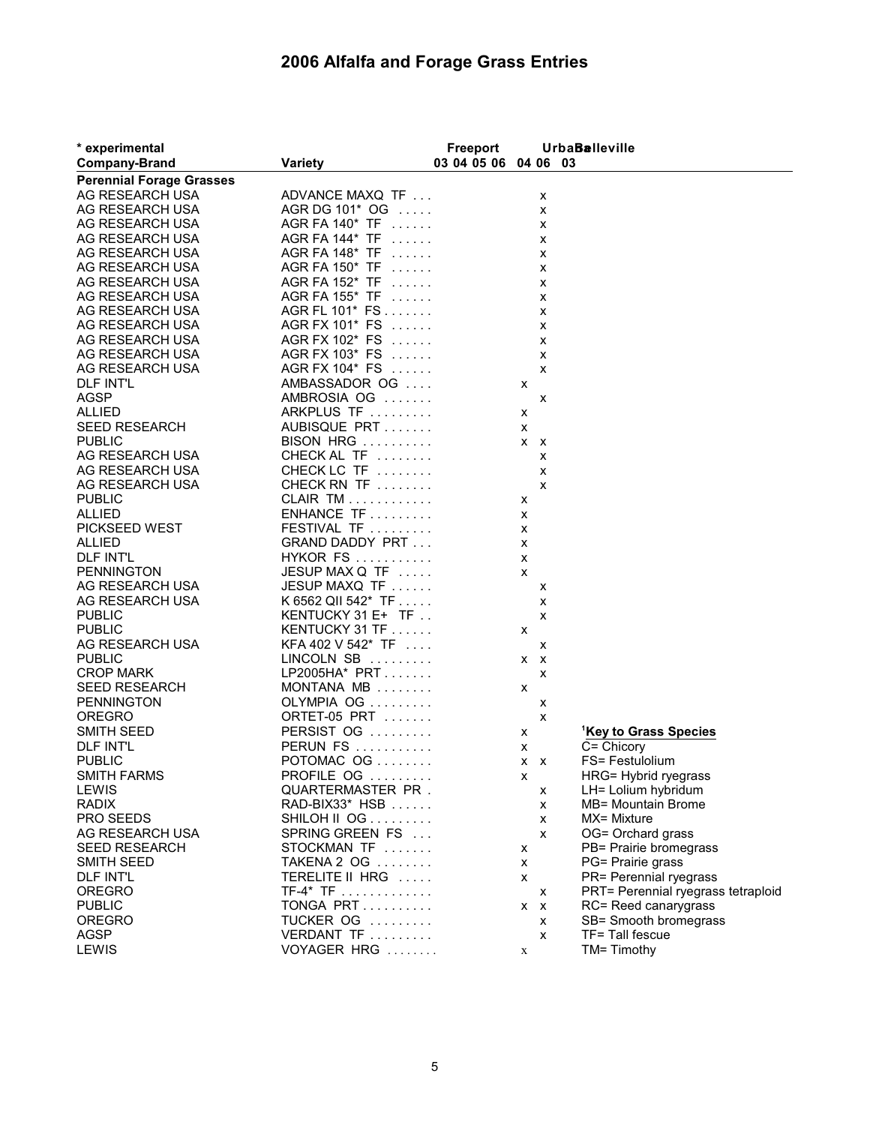## **2006 Alfalfa and Forage Grass Entries**

| * experimental                  |                              | <b>Freeport</b>      |             |   | <b>UrbaBalleville</b>              |
|---------------------------------|------------------------------|----------------------|-------------|---|------------------------------------|
| <b>Company-Brand</b>            | <b>Variety</b>               | 03 04 05 06 04 06 03 |             |   |                                    |
| <b>Perennial Forage Grasses</b> |                              |                      |             |   |                                    |
| AG RESEARCH USA                 | ADVANCE MAXQ TF              |                      |             | x |                                    |
| AG RESEARCH USA                 | AGR DG 101* OG               |                      |             | x |                                    |
| AG RESEARCH USA                 | AGR FA 140* TF               |                      |             | х |                                    |
| AG RESEARCH USA                 | AGR FA 144* TF               |                      |             | х |                                    |
| AG RESEARCH USA                 | AGR FA 148* TF               |                      |             | х |                                    |
| AG RESEARCH USA                 | AGR FA 150* TF               |                      |             | x |                                    |
| AG RESEARCH USA                 | AGR FA 152* TF               |                      |             | х |                                    |
| AG RESEARCH USA                 | AGR FA 155* TF               |                      |             | х |                                    |
| AG RESEARCH USA                 | AGR FL 101* FS               |                      |             | х |                                    |
| AG RESEARCH USA                 | AGR FX 101* FS               |                      |             | х |                                    |
| AG RESEARCH USA                 | AGR FX 102* FS               |                      |             | x |                                    |
| AG RESEARCH USA                 | AGR FX 103* FS               |                      |             | х |                                    |
| AG RESEARCH USA                 | AGR FX 104* FS               |                      |             | х |                                    |
| <b>DLF INT'L</b>                | AMBASSADOR OG                |                      | X           |   |                                    |
| <b>AGSP</b>                     | AMBROSIA OG                  |                      |             | x |                                    |
| <b>ALLIED</b>                   | ARKPLUS TF                   |                      | х           |   |                                    |
| <b>SEED RESEARCH</b>            | AUBISQUE PRT                 |                      | х           |   |                                    |
| <b>PUBLIC</b>                   | BISON HRG                    |                      | $X$ $X$     |   |                                    |
| AG RESEARCH USA                 | CHECK AL TF                  |                      |             | x |                                    |
| AG RESEARCH USA                 | CHECK LC TF                  |                      |             | x |                                    |
| AG RESEARCH USA                 | CHECK RN TF                  |                      |             | X |                                    |
| <b>PUBLIC</b>                   | <b>CLAIR TM</b>              |                      | х           |   |                                    |
| <b>ALLIED</b>                   | $ENHANCE TF$                 |                      | х           |   |                                    |
| <b>PICKSEED WEST</b>            | FESTIVAL TF                  |                      | X           |   |                                    |
| <b>ALLIED</b>                   | <b>GRAND DADDY PRT</b>       |                      | X           |   |                                    |
| <b>DLF INT'L</b>                | <b>HYKOR FS</b>              |                      | X           |   |                                    |
| <b>PENNINGTON</b>               | JESUP MAX Q TF               |                      | X           |   |                                    |
| AG RESEARCH USA                 | JESUP MAXQ TF                |                      |             | х |                                    |
| AG RESEARCH USA                 | K 6562 QII 542* TF $\dots$ . |                      |             | x |                                    |
| <b>PUBLIC</b>                   | KENTUCKY 31 E+ TF            |                      |             | x |                                    |
| <b>PUBLIC</b>                   | KENTUCKY 31 TF               |                      | x           |   |                                    |
| AG RESEARCH USA                 | KFA 402 V 542* TF $\ldots$   |                      |             | х |                                    |
| <b>PUBLIC</b>                   | LINCOLN SB                   |                      | $X$ $X$     |   |                                    |
| <b>CROP MARK</b>                | LP2005HA* PRT                |                      |             | x |                                    |
| <b>SEED RESEARCH</b>            | MONTANA MB                   |                      | x           |   |                                    |
| <b>PENNINGTON</b>               | OLYMPIA OG                   |                      |             | х |                                    |
| <b>OREGRO</b>                   | ORTET-05 PRT $\ldots \ldots$ |                      |             | x |                                    |
| <b>SMITH SEED</b>               | PERSIST OG                   |                      | х           |   | <sup>1</sup> Key to Grass Species  |
| <b>DLF INT'L</b>                | <b>PERUN FS</b>              |                      | х           |   | C= Chicory                         |
| <b>PUBLIC</b>                   | POTOMAC $OG$                 |                      | $X$ $X$     |   | FS= Festulolium                    |
| <b>SMITH FARMS</b>              | PROFILE OG                   |                      | X.          |   | HRG= Hybrid ryegrass               |
| LEWIS                           | QUARTERMASTER PR.            |                      |             | х | LH= Lolium hybridum                |
| <b>RADIX</b>                    | RAD-BIX33* HSB               |                      |             | x | <b>MB= Mountain Brome</b>          |
| PRO SEEDS                       | SHILOH II OG                 |                      |             | х | MX= Mixture                        |
| AG RESEARCH USA                 | SPRING GREEN FS              |                      |             | x | OG= Orchard grass                  |
| <b>SEED RESEARCH</b>            | STOCKMAN TF                  |                      | х           |   | PB= Prairie bromegrass             |
| SMITH SEED                      | TAKENA 2 OG                  |                      | X           |   | PG= Prairie grass                  |
| <b>DLF INT'L</b>                | TERELITE II HRG              |                      | x           |   | PR= Perennial ryegrass             |
| <b>OREGRO</b>                   | $TF-4* TF$                   |                      |             | x | PRT= Perennial ryegrass tetraploid |
| <b>PUBLIC</b>                   | TONGA PRT                    |                      | $X$ $X$     |   | RC= Reed canarygrass               |
| <b>OREGRO</b>                   | TUCKER OG                    |                      |             | x | SB= Smooth bromegrass              |
| <b>AGSP</b>                     | VERDANT TF                   |                      |             | x | TF= Tall fescue                    |
| LEWIS                           | VOYAGER HRG                  |                      | $\mathbf X$ |   | TM= Timothy                        |